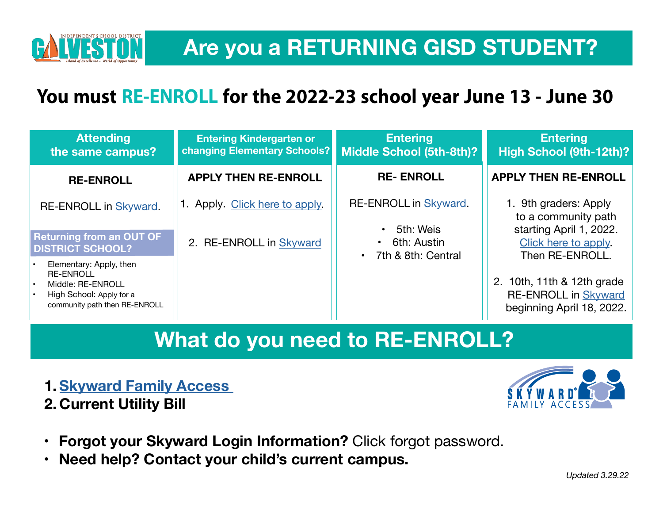

## Are you a RETURNING GISD STUDENT?

*Island of Excellence ~ World of Opportunity*

### **You must RE-ENROLL for the 2022-23 schoolyear. Re-enrollment open again June 13-30.**

| <b>Attending</b><br>the same campus?                                                                                                | <b>Entering Kindergarten or</b><br>changing Elementary Schools? | <b>Entering</b><br>Middle School (5th-8th)?                           | <b>Entering</b><br>High School (9th-12th)?                                               |
|-------------------------------------------------------------------------------------------------------------------------------------|-----------------------------------------------------------------|-----------------------------------------------------------------------|------------------------------------------------------------------------------------------|
| <b>RE-ENROLL</b>                                                                                                                    | <b>APPLY THEN RE-ENROLL</b>                                     | <b>RE-ENROLL</b>                                                      | <b>APPLY THEN RE-ENROLL</b>                                                              |
| RE-ENROLL in Skyward.<br><b>Returning from an OUT OF</b><br><b>DISTRICT SCHOOL?</b>                                                 | 1. Apply. Click here to apply.<br>2. RE-ENROLL in Skyward       | RE-ENROLLin Skyward.<br>5th:Weis<br>6th: Austin<br>7th & 8th: Central | 1. 9th graders: Apply<br>to a community path.<br>Click here to apply.<br>Then RE-ENROLL. |
| Elementary: Apply, then<br><b>RE-ENROLL</b><br>Middle: RE-ENROLL<br>I۰<br>High School: Apply for a<br>community path then RE-ENROLL |                                                                 |                                                                       | 10th, 11th & 12th grade<br>2.<br><b>RE-ENROLL in</b><br>Skyward.                         |

## **What do you need to RE-ENROLL?**

**1. [Skyward Family Access](https://eaplus.gisd.org/scripts/wsisa.dll/WService=wsEAplus/seplog01.w) 2. Current Utility Bill**



- **Forgot your Skyward Login Information?** Click forgot password.
- **Need help? Contact your child's current campus.**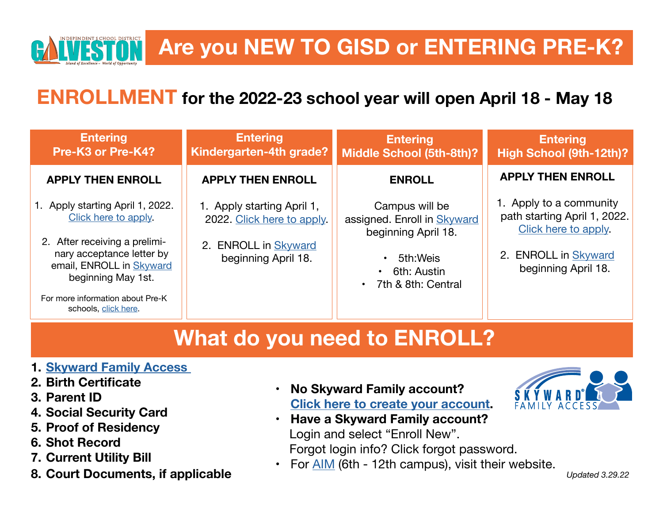

# **ENROLLMENT for the 2022-23 school year is open!**<br> **ENROLLMENT for the 2022-23 school year is open!**

| <b>Entering</b><br>Pre-K3 or Pre-K4?                                                   | <b>Entering</b><br>Kindergarten-4th grade? | <b>Entering</b><br><b>Middle School (5th-8th)?</b>                       | <b>Entering</b><br>High School (9th-12th)?            |
|----------------------------------------------------------------------------------------|--------------------------------------------|--------------------------------------------------------------------------|-------------------------------------------------------|
| <b>APPLY THEN ENROLL</b>                                                               | <b>APPLY THEN ENROLL</b>                   | <b>ENROLL</b>                                                            | <b>APPLY THEN ENROLL</b>                              |
| 1. Apply. Click here to apply.                                                         | 1. Apply. Click here to<br>apply           | Campus will be<br>assigned. Enroll in Skyward                            | 1. Apply to a community<br>path. Click here to apply. |
| 2. After receiving a prelimi-<br>nary acceptance letter by<br>email, ENROLL in Skyward | 2. ENROLL in Skyward.                      | 5th: Weis<br>6th: Austin<br>$\bullet$<br>7th & 8th: Central<br>$\bullet$ | 2. ENROLL in Skyward                                  |
| For more information about Pre-K<br>schools, click here.                               |                                            |                                                                          |                                                       |

## **What do you need to ENROLL?**

#### **1. [Skyward Family Access](https://eaplus.gisd.org/scripts/wsisa.dll/WService=wsEAplus/seplog01.w)**

- **2. Birth Certificate**
- **3. Parent ID**
- **4. Social Security Card**
- **5. Proof of Residency**
- **6. Shot Record**
- **7. Current Utility Bill**
- **8. Court Documents, if applicable**
- **No Skyward Family account? [Click here to create your account](https://eaplus.gisd.org/scripts/wsisa.dll/WService=wsEAplus/skyenroll.w).**
- **Have a Skyward Family account?** Login and select "Enroll New". Forgot login info? Click forgot password.
- For [AIM](https://aim.gisd.org) (6th-12th campus), visit their website.

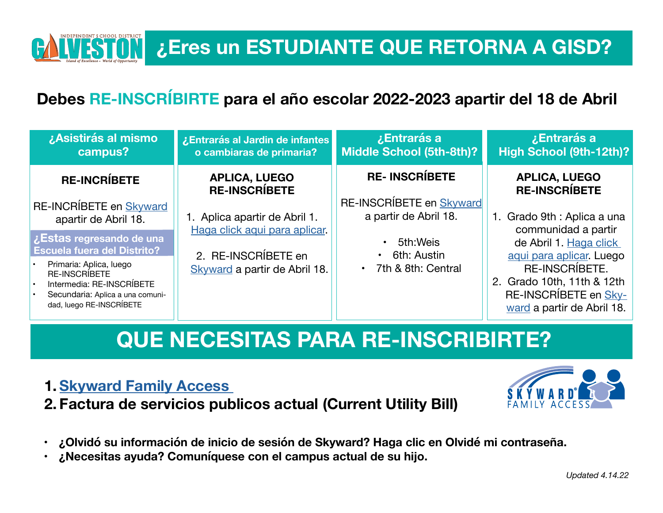### **Debes RE-INSCRÍBIRTE para el año escolar 2022-2023 apartir del 13-30 de Junio.**

| ¿Asistirás al mismo<br>campus?                                                                                                                                                                          | ¿Entrarás al Jardin de infantes<br>o cambiaras de primaria?                                                                    | ¿Entrarás a<br><b>Middle School (5th-8th)?</b>                                                                               | ¿Entrarás a<br>High School (9th-12th)?                                                                                                                                                                                              |
|---------------------------------------------------------------------------------------------------------------------------------------------------------------------------------------------------------|--------------------------------------------------------------------------------------------------------------------------------|------------------------------------------------------------------------------------------------------------------------------|-------------------------------------------------------------------------------------------------------------------------------------------------------------------------------------------------------------------------------------|
| <b>RE-INCRÍBETE</b><br>RE-INCRÍBETE en Skyward                                                                                                                                                          | <b>APLICA, LUEGO</b><br><b>RE-INSCRIBETE</b><br>1. Aplica. Haga click aqui<br>para aplicar.<br>2. RE-INSCRÍBETE en<br>Skyward. | <b>RE-INSCRÍBETE</b><br>RE-INSCRÍBETE en Skyward<br>5th: Weis<br>6th: Austin<br>$\bullet$<br>7th & 8th: Central<br>$\bullet$ | <b>APLICA, LUEGO</b><br><b>RE-INSCRIBETE</b><br>1. Grado 9th: Aplica a una<br>communidad. Haga<br>click aqui para aplicar.<br>Luego RE-<br><b>INSCRÍBETE.</b><br>2. Grado 10th, 11th & 12th<br><b>RE-INSCRIBETE</b><br>en Sky-ward. |
| ¿Estas regresando de una<br><b>Escuela fuera del Distrito?</b><br>Primaria: Aplica, luego<br>RE-INSCRIBETE<br>Intermedia: RE-INSCRÍBETE<br>Secundaria: Aplica a una comuni-<br>dad, luego RE-INSCRÍBETE |                                                                                                                                |                                                                                                                              |                                                                                                                                                                                                                                     |

## **QUE NECESITAS PARA RE-INSCRIBIRTE?**

#### **1. [Skyward Family Access](https://eaplus.gisd.org/scripts/wsisa.dll/WService=wsEAplus/seplog01.w)**

**Graduate Statement - World of Opportunity** 

INDEPENDENT S CHOOL DISTRICT

*Island of Excellence ~ World of Opportunity*

**2. Factura de servicios publicos actual (Current Utility Bill)**



- **¿ Olvidó su información de inicio de sesión de Skyward? Haga clic en Olvidé mi contraseña.**
- **¿ Necesitas ayuda? Comuníquese con el campus actual de su hijo.**